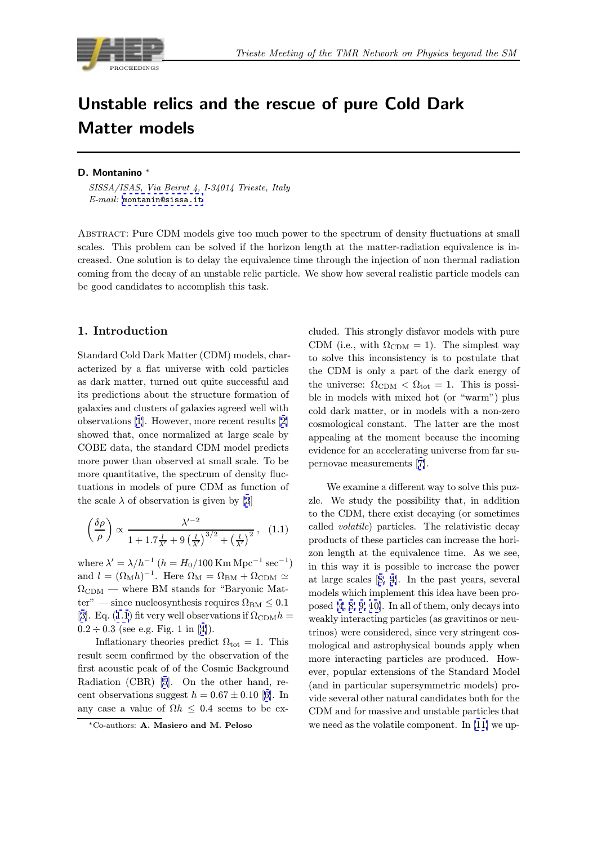<span id="page-0-0"></span>

# Unstable relics and the rescue of pure Cold Dark Matter models

## D. Montanino <sup>∗</sup>

SISSA/ISAS, Via Beirut 4, I-34014 Trieste, Italy  $E$ - $mail:$  montanin@sissa.it

Abstract: Pure CDM models give too much power to the spectrum of density fluctuations at small scales. T[his problem can be](mailto:montanin@sissa.it) solved if the horizon length at the matter-radiation equivalence is increased. One solution is to delay the equivalence time through the injection of non thermal radiation coming from the decay of an unstable relic particle. We show how several realistic particle models can be good candidates to accomplish this task.

## 1. Introduction

Standard Cold Dark Matter (CDM) models, characterized by a flat universe with cold particles as dark matter, turned out quite successful and its predictions about the structure formation of galaxies and clusters of galaxies agreed well with observations [1]. However, more recent results [2] showed that, once normalized at large scale by COBE data, the standard CDM model predicts more power than observed at small scale. To be more quantit[at](#page-5-0)ive, the spectrum of density fl[uc](#page-5-0)tuations in models of pure CDM as function of the scale  $\lambda$  of observation is given by [3]

$$
\left(\frac{\delta\rho}{\rho}\right) \propto \frac{\lambda'^{-2}}{1 + 1.7\frac{l}{\lambda'} + 9\left(\frac{l}{\lambda'}\right)^{3/2} + \left(\frac{l}{\lambda'}\right)^2},\quad(1.1)
$$

where  $\lambda' = \lambda/h^{-1}$   $(h = H_0/100 \text{ Km Mpc}^{-1} \text{ sec}^{-1})$ and  $l = (\Omega_M h)^{-1}$ . Here  $\Omega_M = \Omega_{BM} + \Omega_{CDM} \simeq$  $\Omega_{\rm CDM}$  — where BM stands for "Baryonic Matter" — since nucleosynthesis requires  $\Omega_{BM} \leq 0.1$ [3]. Eq. (1.1) fit very well observations if  $\Omega_{CDM}h =$  $0.2 \div 0.3$  (see e.g. Fig. 1 in [4]).

Inflationary theories predict  $\Omega_{\text{tot}} = 1$ . This result seem confirmed by the observation of the [fir](#page-5-0)st acoustic peak of of the Cosmic Background Radiation (CBR) [5]. On [th](#page-5-0)e other hand, recent observations suggest  $h = 0.67 \pm 0.10$  [6]. In any case a value of  $\Omega h \leq 0.4$  seems to be ex-

cluded. This strongly disfavor models with pure CDM (i.e., with  $\Omega_{CDM} = 1$ ). The simplest way to solve this inconsistency is to postulate that the CDM is only a part of the dark energy of the universe:  $\Omega_{CDM} < \Omega_{tot} = 1$ . This is possible in models with mixed hot (or "warm") plus cold dark matter, or in models with a non-zero cosmological constant. The latter are the most appealing at the moment because the incoming evidence for an accelerating universe from far supernovae measurements [7].

We examine a different way to solve this puzzle. We study the possibility that, in addition to the CDM, there exist [de](#page-5-0)caying (or sometimes called volatile) particles. The relativistic decay products of these particles can increase the horizon length at the equivalence time. As we see, in this way it is possible to increase the power at large scales [8, 4]. In the past years, several models which implement this idea have been proposed [4, 8, 9, 10]. In all of them, only decays into weakly interacting particles (as gravitinos or neutrinos) were co[nside](#page-5-0)red, since very stringent cosmological and astrophysical bounds apply when more i[nterac](#page-5-0)t[ing](#page-5-0) particles are produced. However, popular extensions of the Standard Model (and in particular supersymmetric models) provide several other natural candidates both for the CDM and for massive and unstable particles that we need as the volatile component. In [11] we up-

<sup>∗</sup>Co-authors: A. [Ma](#page-5-0)siero and M. Peloso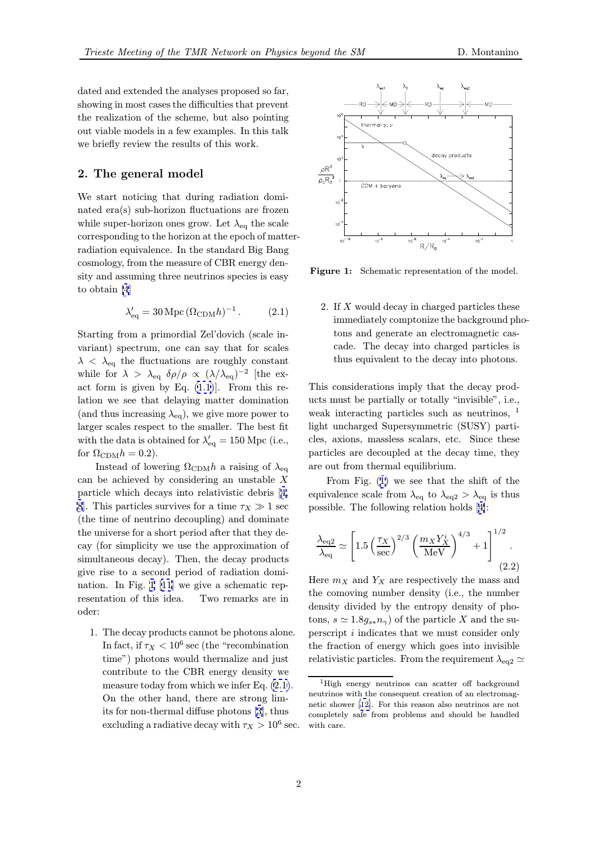dated and extended the analyses proposed so far, showing in most cases the difficulties that prevent the realization of the scheme, but also pointing out viable models in a few examples. In this talk we briefly review the results of this work.

## 2. The general model

We start noticing that during radiation dominated era(s) sub-horizon fluctuations are frozen while super-horizon ones grow. Let  $\lambda_{eq}$  the scale corresponding to the horizon at the epoch of matterradiation equivalence. In the standard Big Bang cosmology, from the measure of CBR energy density and assuming three neutrinos species is easy to obtain [4]

$$
\lambda'_{\text{eq}} = 30 \,\text{Mpc} \, (\Omega_{\text{CDM}} h)^{-1} \,. \tag{2.1}
$$

Starting f[ro](#page-5-0)m a primordial Zel'dovich (scale invariant) spectrum, one can say that for scales  $\lambda \, < \, \lambda_{\text{eq}}$  the fluctuations are roughly constant while for  $\lambda > \lambda_{eq}$   $\delta \rho / \rho \propto (\lambda / \lambda_{eq})^{-2}$  [the exact form is given by Eq.  $(1.1)$ . From this relation we see that delaying matter domination (and thus increasing  $\lambda_{eq}$ ), we give more power to larger scales respect to the smaller. The best fit with the data is obtained fo[r](#page-0-0)  $\lambda'_{\text{eq}} = 150 \text{ Mpc}$  (i.e., for  $\Omega_{CDM}h = 0.2$ ).

Instead of lowering  $\Omega_{CDM}h$  a raising of  $\lambda_{eq}$ can be achieved by considering an unstable  $X$ particle which decays into relativistic debris [4, 8. This particles survives for a time  $\tau_X \gg 1$  sec (the time of neutrino decoupling) and dominate the universe for a short period after that they decay (for simplicity we use the approximation [of](#page-5-0) [si](#page-5-0)multaneous decay). Then, the decay products give rise to a second period of radiation domination. In Fig. 1 [11] we give a schematic representation of this idea. Two remarks are in oder:

1. The decay pr[odu](#page-5-0)cts cannot be photons alone. In fact, if  $\tau_X < 10^6$  sec (the "recombination") time") photons would thermalize and just contribute to the CBR energy density we measure today from which we infer Eq.  $(2.1)$ . On the other hand, there are strong limits for non-thermal diffuse photons [3], thus excluding a radiative decay with  $\tau_X > 10^6$  sec.



Figure 1: Schematic representation of the model.

2. If X would decay in charged particles these immediately comptonize the background photons and generate an electromagnetic cascade. The decay into charged particles is thus equivalent to the decay into photons.

This considerations imply that the decay products must be partially or totally "invisible", i.e., weak interacting particles such as neutrinos, <sup>1</sup> light uncharged Supersymmetric (SUSY) particles, axions, massless scalars, etc. Since these particles are decoupled at the decay time, they are out from thermal equilibrium.

From Fig. (1) we see that the shift of the equivalence scale from  $\lambda_{\text{eq}}$  to  $\lambda_{\text{eq}} > \lambda_{\text{eq}}$  is thus possible. The following relation holds [4]:

$$
\frac{\lambda_{\text{eq2}}}{\lambda_{\text{eq}}} \simeq \left[ 1.5 \left( \frac{\tau_X}{\text{sec}} \right)^{2/3} \left( \frac{m_X Y_X^i}{\text{MeV}} \right)^{4/3} + 1 \right]^{1/2} . \tag{2.2}
$$

Here  $m_X$  and  $Y_X$  are respectively the mass and the comoving number density (i.e., the number density divided by the entropy density of photons,  $s \simeq 1.8g_{s*}n_{\gamma}$  of the particle X and the superscript i indicates that we must consider only the fraction of energy which goes into invisible relativistic particles. From the requirement  $\lambda_{\text{eq2}} \simeq$ 

<sup>1</sup>High energy neutrinos can scatter off background neutrinos with the consequent creation of an electromagnetic shower [12]. For this reason also neutrinos are not completely safe from problems and should be handled with care.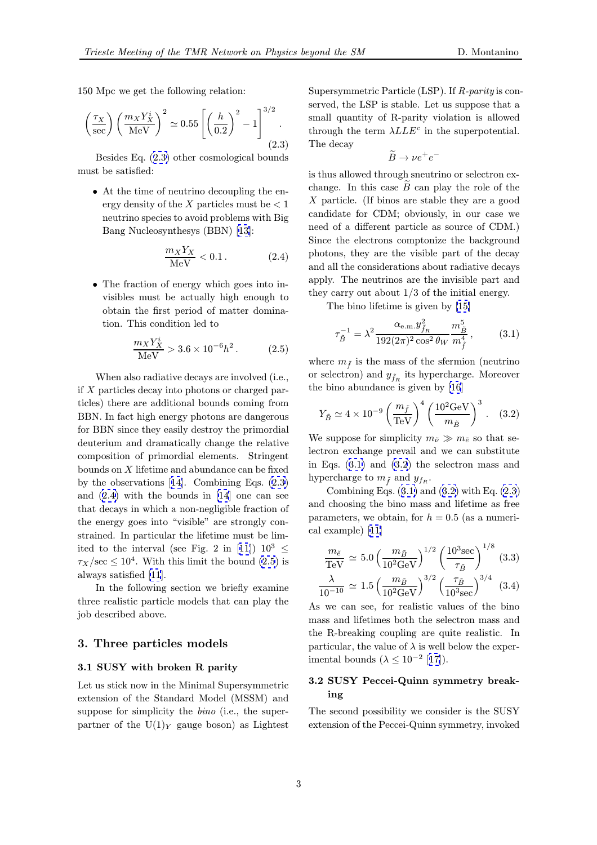<span id="page-2-0"></span>150 Mpc we get the following relation:

$$
\left(\frac{\tau_X}{\sec}\right) \left(\frac{m_X Y_X^i}{\mathrm{MeV}}\right)^2 \simeq 0.55 \left[ \left(\frac{h}{0.2}\right)^2 - 1 \right]^{3/2}.
$$
\n(2.3)

Besides Eq. (2.3) other cosmological bounds must be satisfied:

• At the time of neutrino decoupling the energy density of the X particles must be  $< 1$ neutrino species to avoid problems with Big Bang Nucleosynthesys (BBN) [13]:

$$
\frac{m_X Y_X}{\text{MeV}} < 0.1. \tag{2.4}
$$

• The fraction of energy which [goes](#page-5-0) into invisibles must be actually high enough to obtain the first period of matter domination. This condition led to

$$
\frac{m_X Y_X^i}{\text{MeV}} > 3.6 \times 10^{-6} h^2. \tag{2.5}
$$

When also radiative decays are involved (i.e., if X particles decay into photons or charged particles) there are additional bounds coming from BBN. In fact high energy photons are dangerous for BBN since they easily destroy the primordial deuterium and dramatically change the relative composition of primordial elements. Stringent bounds on  $X$  lifetime and abundance can be fixed by the observations [14]. Combining Eqs. (2.3) and (2.4) with the bounds in [14] one can see that decays in which a non-negligible fraction of the energy goes into "visible" are strongly constrained. In particul[ar t](#page-5-0)he lifetime must be limited to the [in](#page-5-0)terval (see Fig. 2 in [11])  $10^3 \le$  $\tau_X/\text{sec} \leq 10^4$ . With this limit the bound (2.5) is always satisfied [11].

In the following section we briefly examine three realistic particle models that c[an](#page-5-0) play the job described ab[ove](#page-5-0).

#### 3. Three particles models

#### 3.1 SUSY with broken R parity

Let us stick now in the Minimal Supersymmetric extension of the Standard Model (MSSM) and suppose for simplicity the *bino* (i.e., the superpartner of the  $U(1)_Y$  gauge boson) as Lightest

Supersymmetric Particle (LSP). If  $R$ -parity is conserved, the LSP is stable. Let us suppose that a small quantity of R-parity violation is allowed through the term  $\lambda LLE^c$  in the superpotential. The decay

$$
\widetilde{B} \to \nu e^+ e^-
$$

is thus allowed through sneutrino or selectron exchange. In this case  $B$  can play the role of the X particle. (If binos are stable they are a good candidate for CDM; obviously, in our case we need of a different particle as source of CDM.) Since the electrons comptonize the background photons, they are the visible part of the decay and all the considerations about radiative decays apply. The neutrinos are the invisible part and they carry out about 1/3 of the initial energy.

The bino lifetime is given by [15]

$$
\tau_{\tilde{B}}^{-1} = \lambda^2 \frac{\alpha_{\text{e.m.}} y_{\tilde{f}_R}^2}{192(2\pi)^2 \cos^2 \theta_W} \frac{m_{\tilde{B}}^5}{m_{\tilde{f}}^4},\tag{3.1}
$$

where  $m_{\tilde{f}}$  is the mass of the sfer[mio](#page-5-0)n (neutrino<br>or selectron) and  $u_{\tilde{f}}$  its hypercharge. Moreover or selectron) and  $y_{\tilde{f}_R}$  its hypercharge. Moreover the bino abundance is given by [16]

$$
Y_{\tilde{B}} \simeq 4 \times 10^{-9} \left(\frac{m_{\tilde{f}}}{\text{TeV}}\right)^4 \left(\frac{10^2 \text{GeV}}{m_{\tilde{B}}}\right)^3. \quad (3.2)
$$

We suppose for simplicity  $m_{\tilde{\nu}} \gg m_{\tilde{e}}$  so that selectron exchange prevail and we can substitute in Eqs. (3.1) and (3.2) the selectron mass and hypercharge to  $m_{\tilde{f}}$  and  $y_{f_R}$ .<br>Combining Eqs. (2.1) on

Combining Eqs.  $(3.1)$  and  $(3.2)$  with Eq.  $(2.3)$ and choosing the bino mass and lifetime as free parameters, we obtain, for  $h = 0.5$  (as a numerical example) [11]

$$
\frac{m_{\tilde{e}}}{\text{TeV}} \simeq 5.0 \left(\frac{m_{\tilde{B}}}{10^2 \text{GeV}}\right)^{1/2} \left(\frac{10^3 \text{sec}}{\tau_{\tilde{B}}}\right)^{1/8} (3.3)
$$

$$
\frac{\lambda}{10^{-10}} \simeq 1.5 \left(\frac{m_{\tilde{B}}}{10^2 \text{GeV}}\right)^{3/2} \left(\frac{\tau_{\tilde{B}}}{10^3 \text{sec}}\right)^{3/4} (3.4)
$$

As we can see, for realistic values of the bino mass and lifetimes both the selectron mass and the R-breaking coupling are quite realistic. In particular, the value of  $\lambda$  is well below the experimental bounds ( $\lambda \leq 10^{-2}$  [17]).

## 3.2 SUSY Peccei-Quinn symmetry breaking

The second possibility we [con](#page-5-0)sider is the SUSY extension of the Peccei-Quinn symmetry, invoked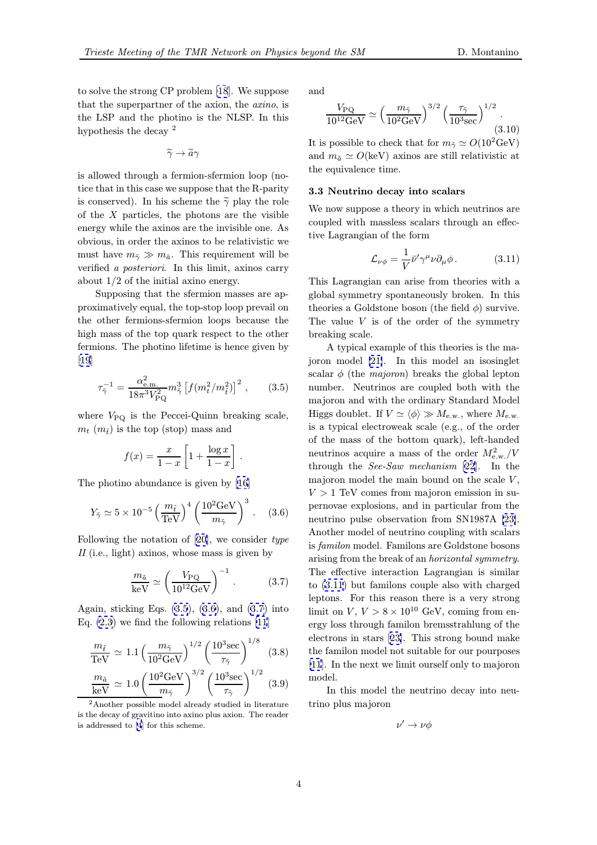to solve the strong CP problem [18]. We suppose that the superpartner of the axion, the axino, is the LSP and the photino is the NLSP. In this hypothesis the decay <sup>2</sup>

$$
\widetilde{\gamma}\to\widetilde{a}\gamma
$$

is allowed through a fermion-sfermion loop (notice that in this case we suppose that the R-parity is conserved). In his scheme the  $\tilde{\gamma}$  play the role of the  $X$  particles, the photons are the visible energy while the axinos are the invisible one. As obvious, in order the axinos to be relativistic we must have  $m_{\tilde{\gamma}} \gg m_{\tilde{a}}$ . This requirement will be verified a posteriori. In this limit, axinos carry about 1/2 of the initial axino energy.

Supposing that the sfermion masses are approximatively equal, the top-stop loop prevail on the other fermions-sfermion loops because the high mass of the top quark respect to the other fermions. The photino lifetime is hence given by [19]

$$
\tau_{\tilde{\gamma}}^{-1} = \frac{\alpha_{\text{e.m.}}^2}{18\pi^3 V_{\text{PQ}}^2} m_{\tilde{\gamma}}^3 \left[ f(m_t^2/m_{\tilde{t}}^2) \right]^2 , \qquad (3.5)
$$

[wh](#page-5-0)ere  $V_{\text{PQ}}$  is the Peccei-Quinn breaking scale,  $m_t$  ( $m_{\tilde{t}}$ ) is the top (stop) mass and

$$
f(x) = \frac{x}{1-x} \left[ 1 + \frac{\log x}{1-x} \right].
$$

The photino abundance is given by [16]

$$
Y_{\tilde{\gamma}} \simeq 5 \times 10^{-5} \left(\frac{m_{\tilde{t}}}{\text{TeV}}\right)^4 \left(\frac{10^2 \text{GeV}}{m_{\tilde{\gamma}}}\right)^3. \quad (3.6)
$$

Following the notation of [20], we c[ons](#page-5-0)ider type II (i.e., light) axinos, whose mass is given by

$$
\frac{m_{\tilde{a}}}{\text{keV}} \simeq \left(\frac{V_{\text{PQ}}}{10^{12}\text{GeV}}\right)^{-1}.
$$
 (3.7)

Again, sticking Eqs.  $(3.5)$ ,  $(3.6)$ , and  $(3.7)$  into Eq. (2.3) we find the following relations [11]

$$
\frac{m_{\tilde{t}}}{\text{TeV}} \simeq 1.1 \left(\frac{m_{\tilde{\gamma}}}{10^2 \text{GeV}}\right)^{1/2} \left(\frac{10^3 \text{sec}}{\tau_{\tilde{\gamma}}}\right)^{1/8} (3.8)
$$

$$
\frac{m_{\tilde{a}}}{\text{keV}} \simeq 1.0 \left(\frac{10^2 \text{GeV}}{m_{\tilde{\gamma}}}\right)^{3/2} \left(\frac{10^3 \text{sec}}{\tau_{\tilde{\gamma}}}\right)^{1/2} (3.9)
$$

<sup>2</sup>Another possible model already studied in literature is the decay of gravitino into axino plus axion. The reader is addressed to [4] for this scheme.

Τ

and

$$
\frac{V_{\rm PQ}}{10^{12} \text{GeV}} \simeq \left(\frac{m_{\tilde{\gamma}}}{10^2 \text{GeV}}\right)^{3/2} \left(\frac{\tau_{\tilde{\gamma}}}{10^3 \text{sec}}\right)^{1/2}.
$$
\n(3.10)

It is possible to check that for  $m_{\tilde{\gamma}} \simeq O(10^2 \text{GeV})$ and  $m_{\tilde{a}} \simeq O(\text{keV})$  axinos are still relativistic at the equivalence time.

#### 3.3 Neutrino decay into scalars

We now suppose a theory in which neutrinos are coupled with massless scalars through an effective Lagrangian of the form

$$
\mathcal{L}_{\nu\phi} = \frac{1}{V} \bar{\nu}' \gamma^{\mu} \nu \partial_{\mu} \phi.
$$
 (3.11)  
This Lagrangian can arise from theories with a

global symmetry spontaneously broken. In this theories a Goldstone boson (the field  $\phi$ ) survive. The value  $V$  is of the order of the symmetry breaking scale.

A typical example of this theories is the majoron model [21]. In this model an isosinglet scalar  $\phi$  (the *majoron*) breaks the global lepton number. Neutrinos are coupled both with the majoron and with the ordinary Standard Model Higgs doublet[. If](#page-5-0)  $V \simeq \langle \phi \rangle \gg M_{\rm e.w.}$ , where  $M_{\rm e.w.}$ is a typical electroweak scale (e.g., of the order of the mass of the bottom quark), left-handed neutrinos acquire a mass of the order  $M_{\text{e,w}}^2/V$ through the *See-Saw mechanism* [22]. In the majoron model the main bound on the scale  $V$ ,  $V > 1$  TeV comes from majoron emission in supernovae explosions, and in particular from the neutrino pulse observation from S[N19](#page-5-0)87A [23]. Another model of neutrino coupling with scalars is familon model. Familons are Goldstone bosons arising from the break of an horizontal symmetry. The effective interaction Lagrangian is si[mila](#page-5-0)r to (3.11) but familons couple also with charged leptons. For this reason there is a very strong limit on  $V, V > 8 \times 10^{10}$  GeV, coming from energy loss through familon bremsstrahlung of the electrons in stars [23]. This strong bound make the familon model not suitable for our pourposes [11]. In the next we limit ourself only to majoron model.

In this model [th](#page-5-0)e neutrino decay into neu[trin](#page-5-0)o plus majoron

$$
\nu' \to \nu \phi
$$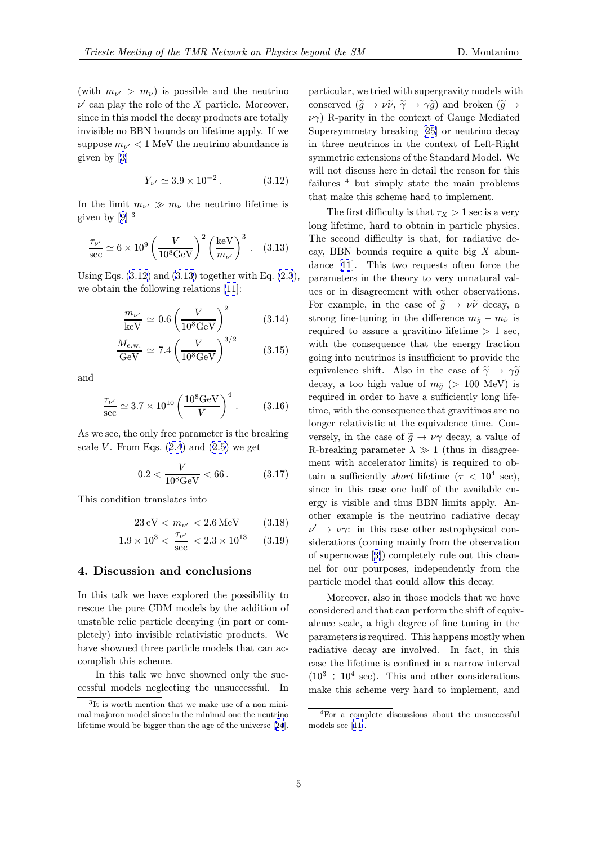(with  $m_{\nu} > m_{\nu}$ ) is possible and the neutrino  $\nu'$  can play the role of the X particle. Moreover, since in this model the decay products are totally invisible no BBN bounds on lifetime apply. If we suppose  $m_{\nu'} < 1$  MeV the neutrino abundance is given by [3]

$$
Y_{\nu'} \simeq 3.9 \times 10^{-2} \,. \tag{3.12}
$$

In the li[mi](#page-5-0)t  $m_{\nu} \gg m_{\nu}$  the neutrino lifetime is given by  $[9]$ <sup>3</sup>

$$
\frac{\tau_{\nu'}}{\sec} \simeq 6 \times 10^9 \left(\frac{V}{10^8 \text{GeV}}\right)^2 \left(\frac{\text{keV}}{m_{\nu'}}\right)^3. \quad (3.13)
$$

Using Eq[s.](#page-5-0)  $(3.12)$  and  $(3.13)$  together with Eq.  $(2.3)$ , we obtain the following relations [11]:

$$
\frac{m_{\nu'}}{\text{keV}} \simeq 0.6 \left(\frac{V}{10^8 \text{GeV}}\right)^2 \tag{3.14}
$$

$$
\frac{M_{\text{e.w.}}}{\text{GeV}} \simeq 7.4 \left(\frac{V}{10^8 \text{GeV}}\right)^{3/2} \tag{3.15}
$$

and

$$
\frac{\tau_{\nu'}}{\sec} \simeq 3.7 \times 10^{10} \left( \frac{10^8 \text{GeV}}{V} \right)^4. \tag{3.16}
$$

As we see, the only free parameter is the breaking scale V. From Eqs.  $(2.4)$  and  $(2.5)$  we get

$$
0.2 < \frac{V}{10^8 \text{GeV}} < 66. \tag{3.17}
$$

This condition transl[ate](#page-2-0)s into

$$
23 \,\mathrm{eV} < m_{\nu'} < 2.6 \,\mathrm{MeV} \tag{3.18}
$$

$$
1.9 \times 10^3 < \frac{\tau_{\nu'}}{\text{sec}} < 2.3 \times 10^{13} \qquad (3.19)
$$

#### 4. Discussion and conclusions

In this talk we have explored the possibility to rescue the pure CDM models by the addition of unstable relic particle decaying (in part or completely) into invisible relativistic products. We have showned three particle models that can accomplish this scheme.

In this talk we have showned only the successful models neglecting the unsuccessful. In particular, we tried with supergravity models with conserved  $(\tilde{g} \to \nu \tilde{\nu}, \tilde{\gamma} \to \gamma \tilde{g})$  and broken  $(\tilde{g} \to \tilde{\gamma})$  $\nu\gamma$ ) R-parity in the context of Gauge Mediated Supersymmetry breaking [25] or neutrino decay in three neutrinos in the context of Left-Right symmetric extensions of the Standard Model. We will not discuss here in detail the reason for this failures  $4$  but simply stat[e t](#page-5-0)he main problems that make this scheme hard to implement.

The first difficulty is that  $\tau_X > 1$  sec is a very long lifetime, hard to obtain in particle physics. The second difficulty is that, for radiative decay, BBN bounds require a quite big  $X$  abundance [11]. This two requests often force the parameters in the theory to very unnatural values or in disagreement with other observations. For example, in the case of  $\tilde{g} \to \nu \tilde{\nu}$  decay, a strong [fin](#page-5-0)e-tuning in the difference  $m_{\tilde{g}} - m_{\tilde{\nu}}$  is required to assure a gravitino lifetime  $> 1$  sec, with the consequence that the energy fraction going into neutrinos is insufficient to provide the equivalence shift. Also in the case of  $\tilde{\gamma} \rightarrow \gamma \tilde{g}$ decay, a too high value of  $m_{\tilde{g}}$  (> 100 MeV) is required in order to have a sufficiently long lifetime, with the consequence that gravitinos are no longer relativistic at the equivalence time. Conversely, in the case of  $\tilde{g} \to \nu \gamma$  decay, a value of R-breaking parameter  $\lambda \gg 1$  (thus in disagreement with accelerator limits) is required to obtain a sufficiently *short* lifetime ( $\tau < 10^4$  sec), since in this case one half of the available energy is visible and thus BBN limits apply. Another example is the neutrino radiative decay  $\nu' \rightarrow \nu \gamma$ : in this case other astrophysical considerations (coming mainly from the observation of supernovae [3]) completely rule out this channel for our pourposes, independently from the particle model that could allow this decay.

Moreover, also in those models that we have considered and [th](#page-5-0)at can perform the shift of equivalence scale, a high degree of fine tuning in the parameters is required. This happens mostly when radiative decay are involved. In fact, in this case the lifetime is confined in a narrow interval  $(10^3 \div 10^4 \text{ sec})$ . This and other considerations make this scheme very hard to implement, and

<sup>&</sup>lt;sup>3</sup>It is worth mention that we make use of a non minimal majoron model since in the minimal one the neutrino lifetime would be bigger than the age of the universe [24].

<sup>4</sup>For a complete discussions about the unsuccessful models see [11].